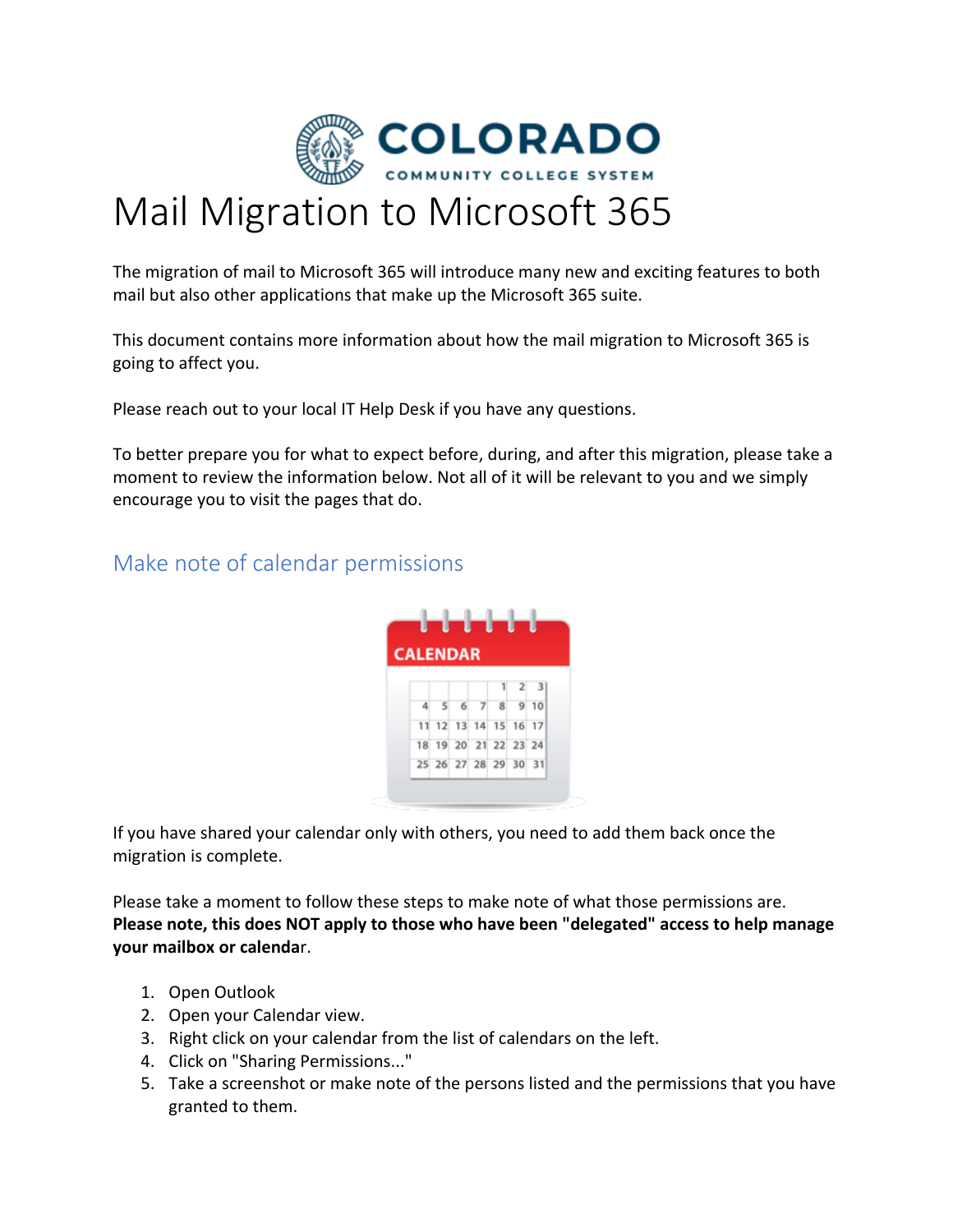

## Mail Migration to Microsoft 365

The migration of mail to Microsoft 365 will introduce many new and exciting features to both mail but also other applications that make up the Microsoft 365 suite.

This document contains more information about how the mail migration to Microsoft 365 is going to affect you.

Please reach out to your local IT Help Desk if you have any questions.

To better prepare you for what to expect before, during, and after this migration, please take a moment to review the information below. Not all of it will be relevant to you and we simply encourage you to visit the pages that do.

## Make note of calendar permissions



If you have shared your calendar only with others, you need to add them back once the migration is complete.

Please take a moment to follow these steps to make note of what those permissions are. **Please note, this does NOT apply to those who have been "delegated" access to help manage your mailbox or calenda**r.

- 1. Open Outlook
- 2. Open your Calendar view.
- 3. Right click on your calendar from the list of calendars on the left.
- 4. Click on "Sharing Permissions..."
- 5. Take a screenshot or make note of the persons listed and the permissions that you have granted to them.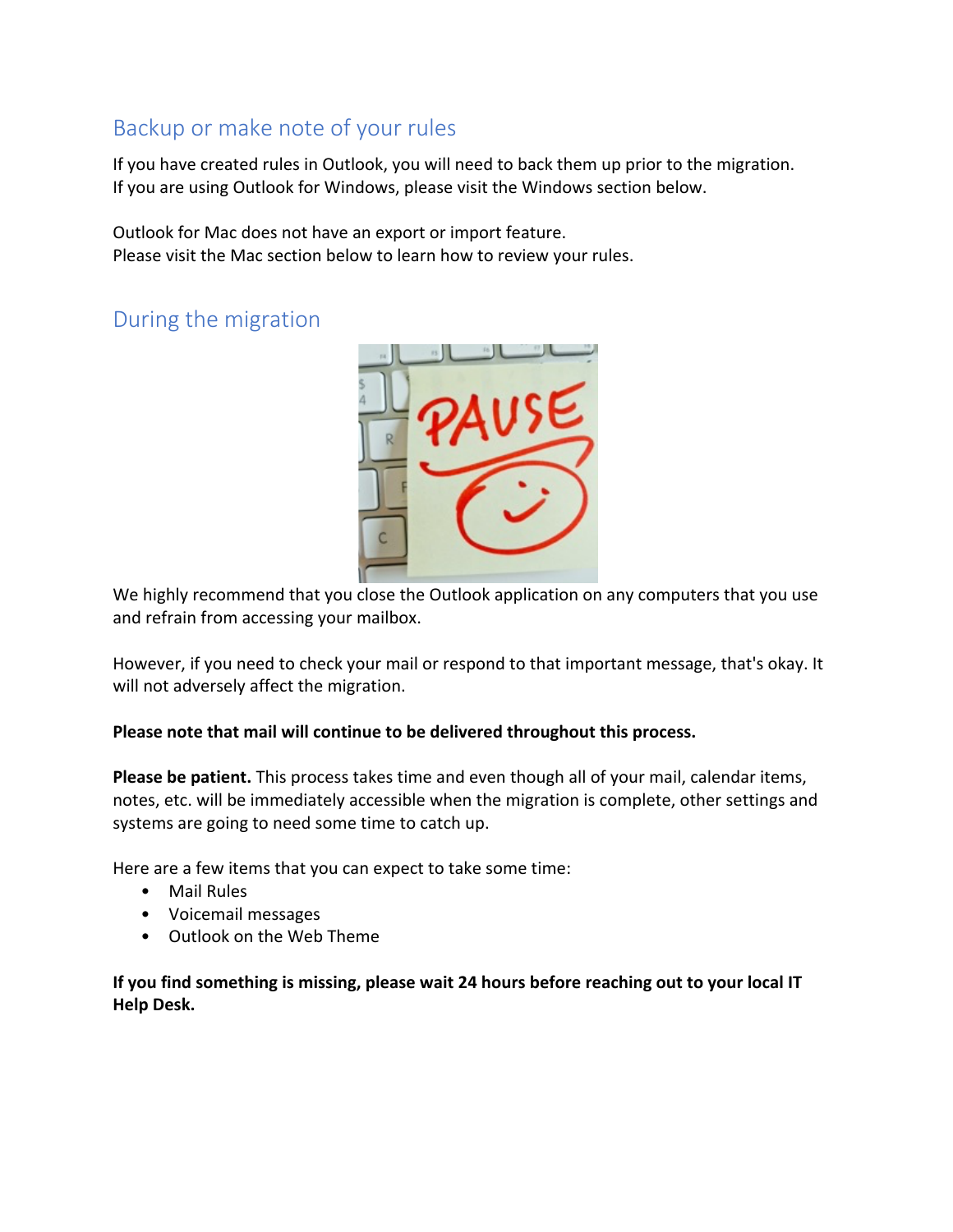## Backup or make note of your rules

If you have created rules in Outlook, you will need to back them up prior to the migration. If you are using Outlook for Windows, please visit the Windows section below.

Outlook for Mac does not have an export or import feature. Please visit the Mac section below to learn how to review your rules.

## During the migration



We highly recommend that you close the Outlook application on any computers that you use and refrain from accessing your mailbox.

However, if you need to check your mail or respond to that important message, that's okay. It will not adversely affect the migration.

### **Please note that mail will continue to be delivered throughout this process.**

**Please be patient.** This process takes time and even though all of your mail, calendar items, notes, etc. will be immediately accessible when the migration is complete, other settings and systems are going to need some time to catch up.

Here are a few items that you can expect to take some time:

- Mail Rules
- Voicemail messages
- Outlook on the Web Theme

**If you find something is missing, please wait 24 hours before reaching out to your local IT Help Desk.**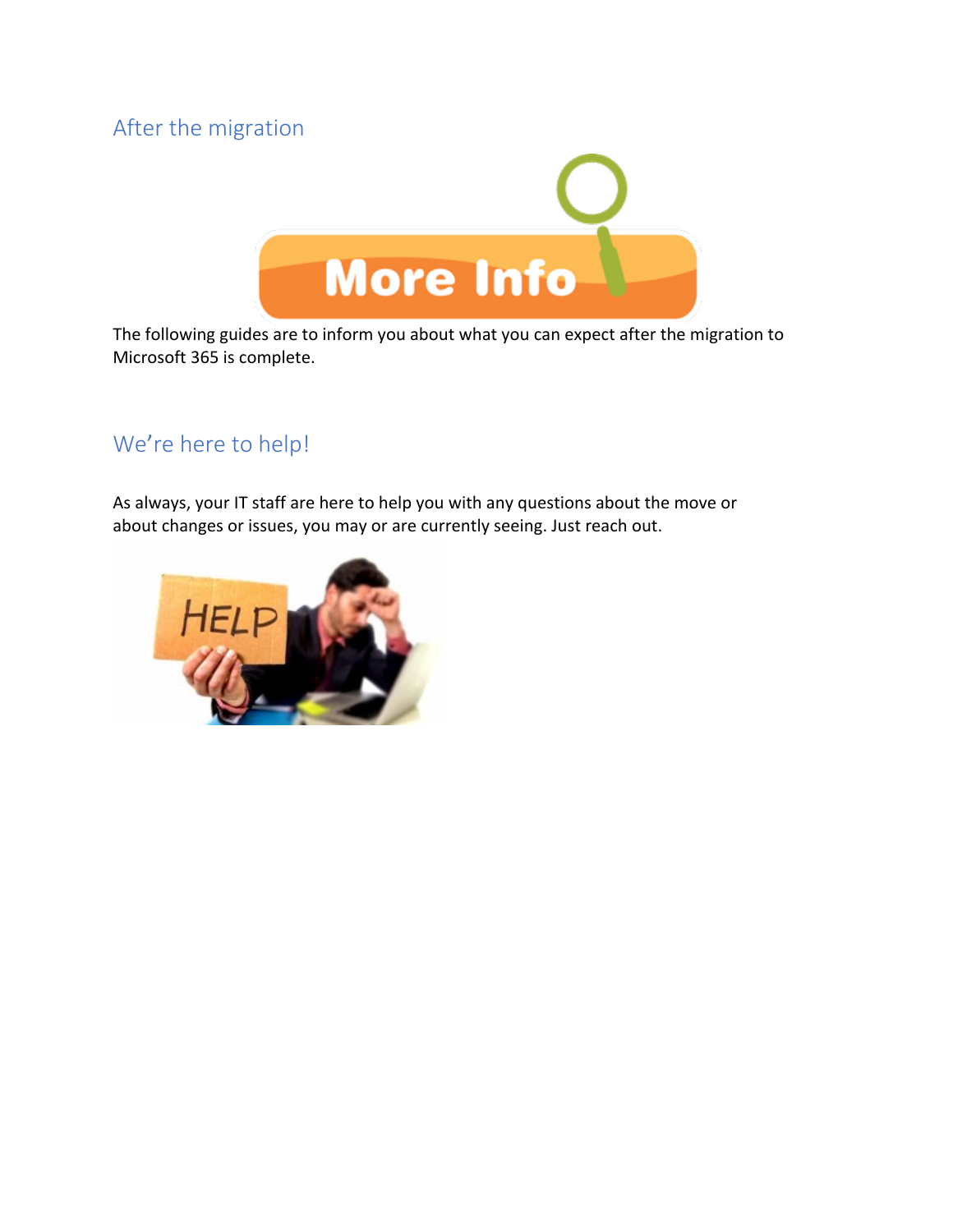## After the migration



The following guides are to inform you about what you can expect after the migration to Microsoft 365 is complete.

## We're here to help!

As always, your IT staff are here to help you with any questions about the move or about changes or issues, you may or are currently seeing. Just reach out.

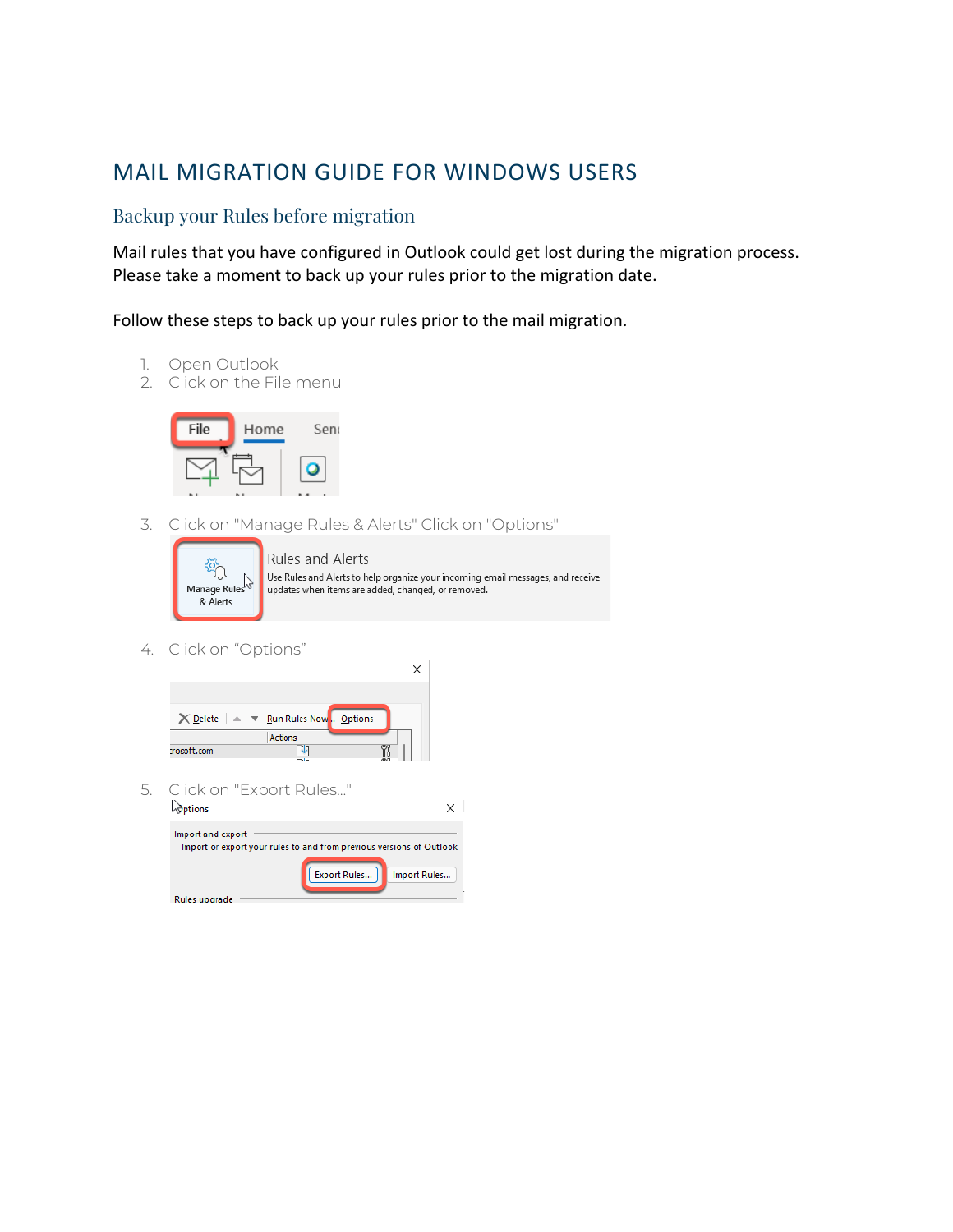## MAIL MIGRATION GUIDE FOR WINDOWS USERS

## Backup your Rules before migration

Mail rules that you have configured in Outlook could get lost during the migration process. Please take a moment to back up your rules prior to the migration date.

Follow these steps to back up your rules prior to the mail migration.

- 1. Open Outlook
- 2. Click on the File menu



3. Click on "Manage Rules & Alerts" Click on "Options"



Rules and Alerts Use Rules and Alerts to help organize your incoming email messages, and receive updates when items are added, changed, or removed.

 $\times$ 

4. Click on "Options"

| $\times$ Delete $\blacktriangleright$ $\blacktriangleright$ Run Rules Now . Options |                |  |  |
|-------------------------------------------------------------------------------------|----------------|--|--|
|                                                                                     | <b>Actions</b> |  |  |
| rosoft.com                                                                          | $= -$          |  |  |
|                                                                                     |                |  |  |

5. Click on "Export Rules..."

| <b><i><u>Options</u></i></b>                                                              |                     |              |
|-------------------------------------------------------------------------------------------|---------------------|--------------|
| Import and export<br>Import or export your rules to and from previous versions of Outlook |                     |              |
|                                                                                           | <b>Export Rules</b> | Import Rules |
| Rules upgrade                                                                             |                     |              |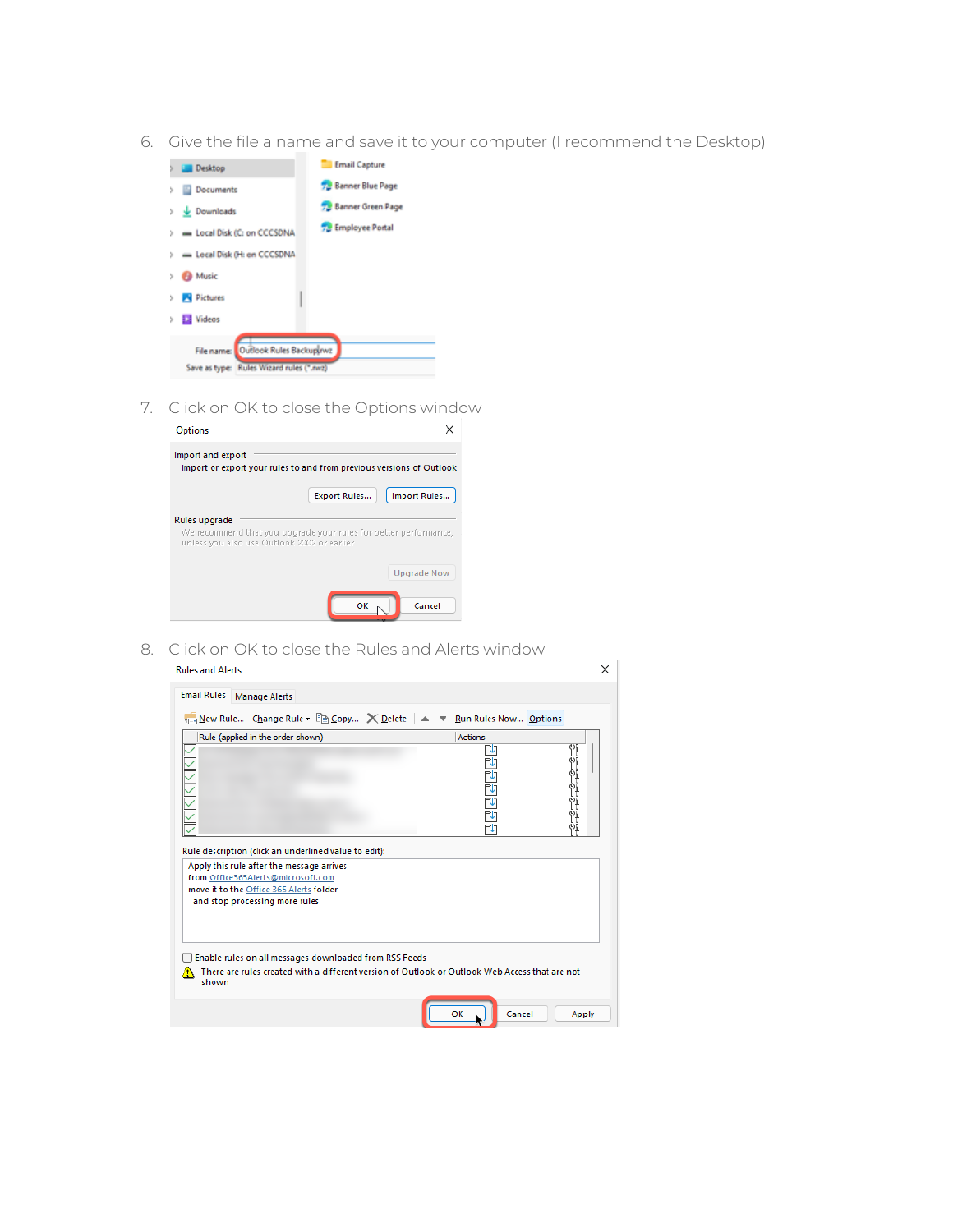6. Give the file a name and save it to your computer (I recommend the Desktop)



7. Click on OK to close the Options window

| Options                                                                                                                          |                     |                    |
|----------------------------------------------------------------------------------------------------------------------------------|---------------------|--------------------|
| Import and export<br>Import or export your rules to and from previous versions of Outlook                                        |                     |                    |
|                                                                                                                                  | <b>Export Rules</b> | Import Rules       |
| Rules upgrade<br>We recommend that you upgrade your rules for better performance,<br>unless you also use Outlook 2002 or earlier |                     |                    |
|                                                                                                                                  |                     | <b>Upgrade Now</b> |
|                                                                                                                                  | OK                  | Cancel             |

8. Click on OK to close the Rules and Alerts window

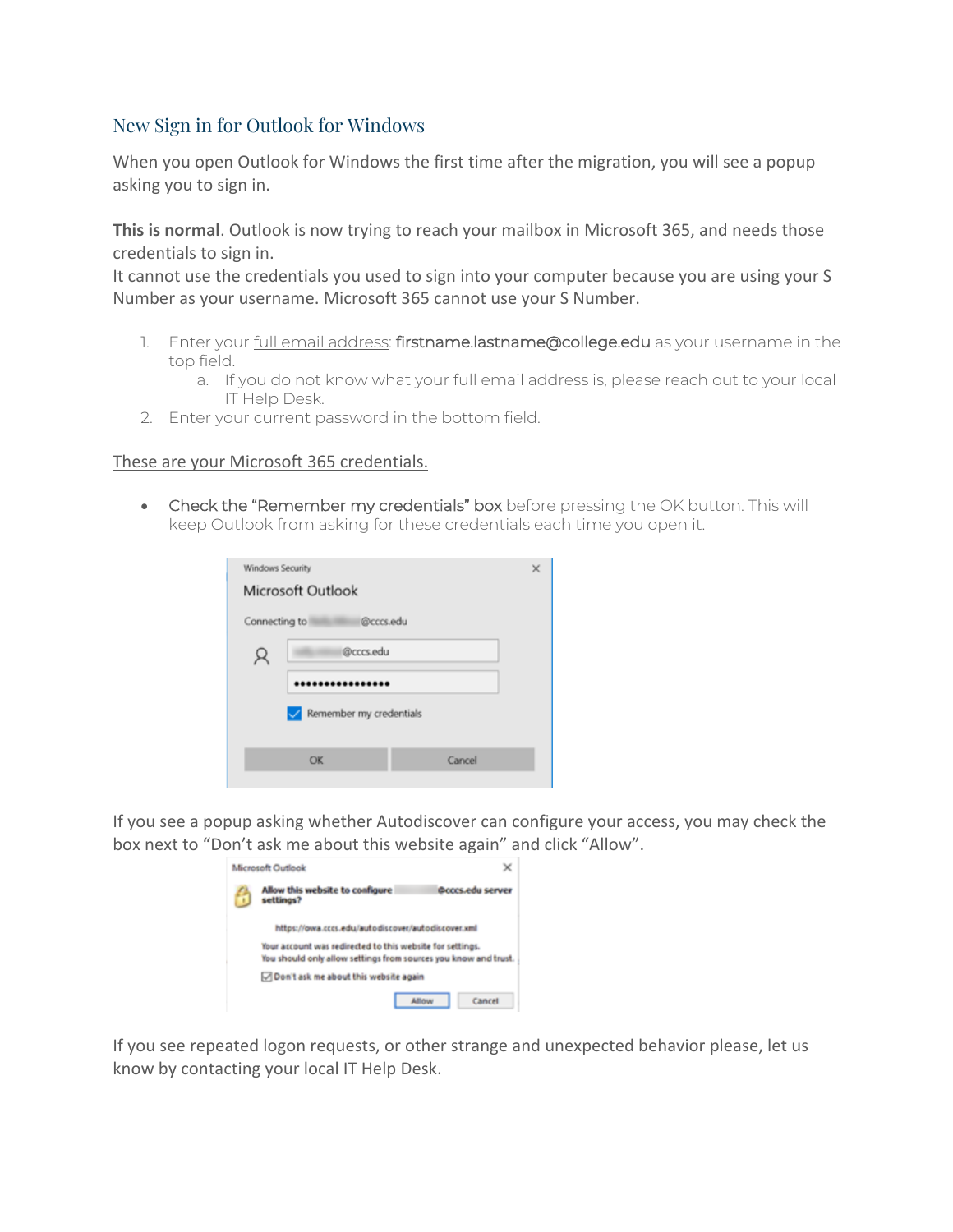## New Sign in for Outlook for Windows

When you open Outlook for Windows the first time after the migration, you will see a popup asking you to sign in.

**This is normal**. Outlook is now trying to reach your mailbox in Microsoft 365, and needs those credentials to sign in.

It cannot use the credentials you used to sign into your computer because you are using your S Number as your username. Microsoft 365 cannot use your S Number.

- 1. Enter your full email address: firstname.lastname@college.edu as your username in the top field.
	- a. If you do not know what your full email address is, please reach out to your local IT Help Desk.
- 2. Enter your current password in the bottom field.

#### These are your Microsoft 365 credentials.

• Check the "Remember my credentials" box before pressing the OK button. This will keep Outlook from asking for these credentials each time you open it.

|                         | Windows Security<br>×<br>Microsoft Outlook |        |  |  |  |
|-------------------------|--------------------------------------------|--------|--|--|--|
|                         | @cccs.edu<br>Connecting to                 |        |  |  |  |
|                         | @cccs.edu                                  |        |  |  |  |
|                         |                                            |        |  |  |  |
| Remember my credentials |                                            |        |  |  |  |
|                         |                                            |        |  |  |  |
|                         | OK                                         | Cancel |  |  |  |

If you see a popup asking whether Autodiscover can configure your access, you may check the box next to "Don't ask me about this website again" and click "Allow".

|   | Microsoft Outlook                                                                                                            |
|---|------------------------------------------------------------------------------------------------------------------------------|
| H | Allow this website to configure<br><b><i><u>Dcccs.edu server</u></i></b><br>settings?                                        |
|   | https://owa.cccs.edu/autodiscover/autodiscover.xml                                                                           |
|   | Your account was redirected to this website for settings.<br>You should only allow settings from sources you know and trust. |
|   | Oon't ask me about this website again                                                                                        |
|   | Cancel<br><b>Low</b>                                                                                                         |

If you see repeated logon requests, or other strange and unexpected behavior please, let us know by contacting your local IT Help Desk.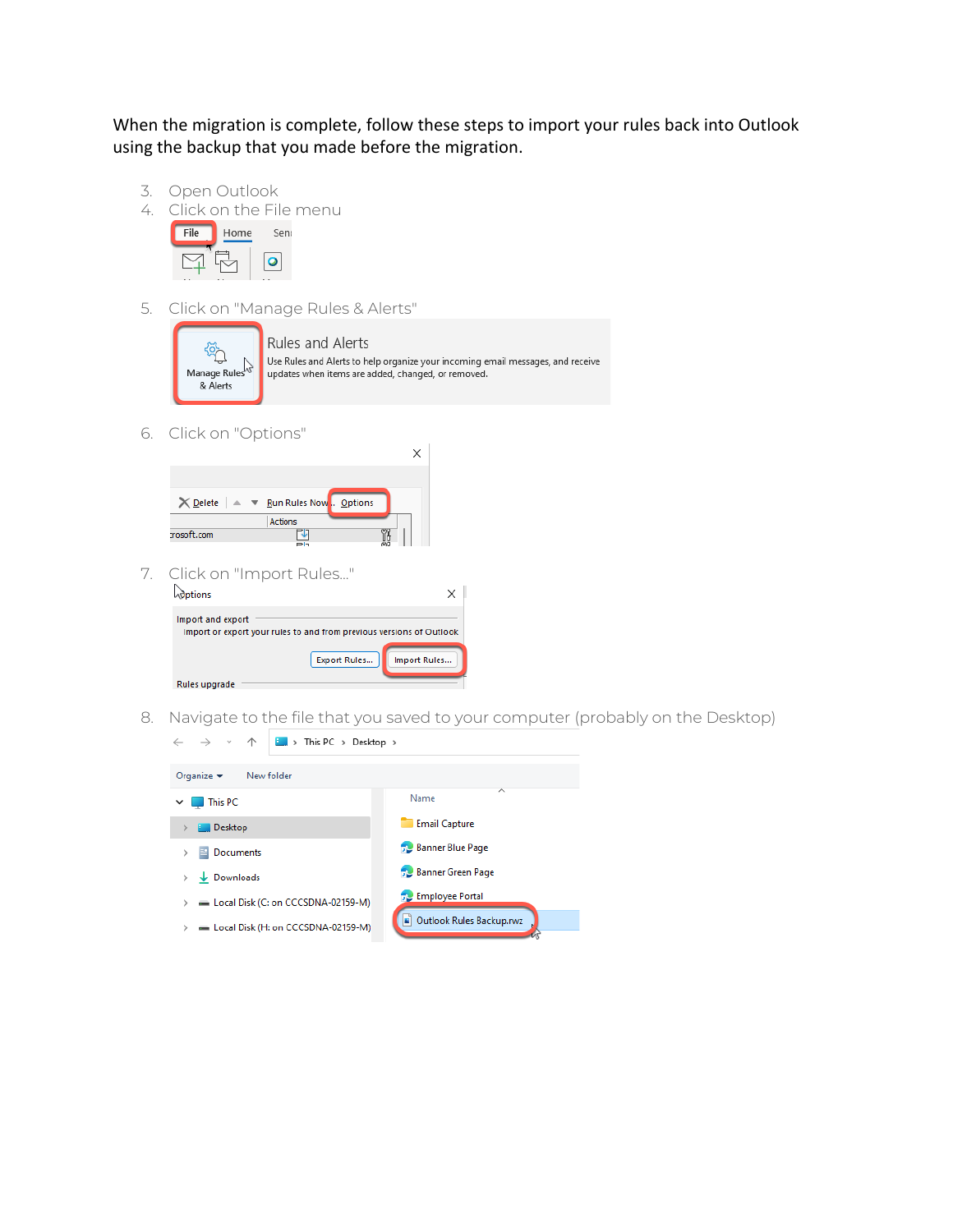When the migration is complete, follow these steps to import your rules back into Outlook using the backup that you made before the migration.

- 3. Open Outlook
- 4. Click on the File menu



5. Click on "Manage Rules & Alerts"



6. Click on "Options"

| $\times$ Delete $\blacktriangleright$ $\blacktriangleright$ Run Rules Now . Options |                |  |
|-------------------------------------------------------------------------------------|----------------|--|
|                                                                                     | <b>Actions</b> |  |
| rosoft.com                                                                          |                |  |
|                                                                                     | P <sub>1</sub> |  |

7. Click on "Import Rules..."

| ptions            |                                                                      |
|-------------------|----------------------------------------------------------------------|
| Import and export | Import or export your rules to and from previous versions of Outlook |
|                   | <b>Export Rules</b><br>Import Rules                                  |
| Rules upgrade     |                                                                      |

8. Navigate to the file that you saved to your computer (probably on the Desktop)

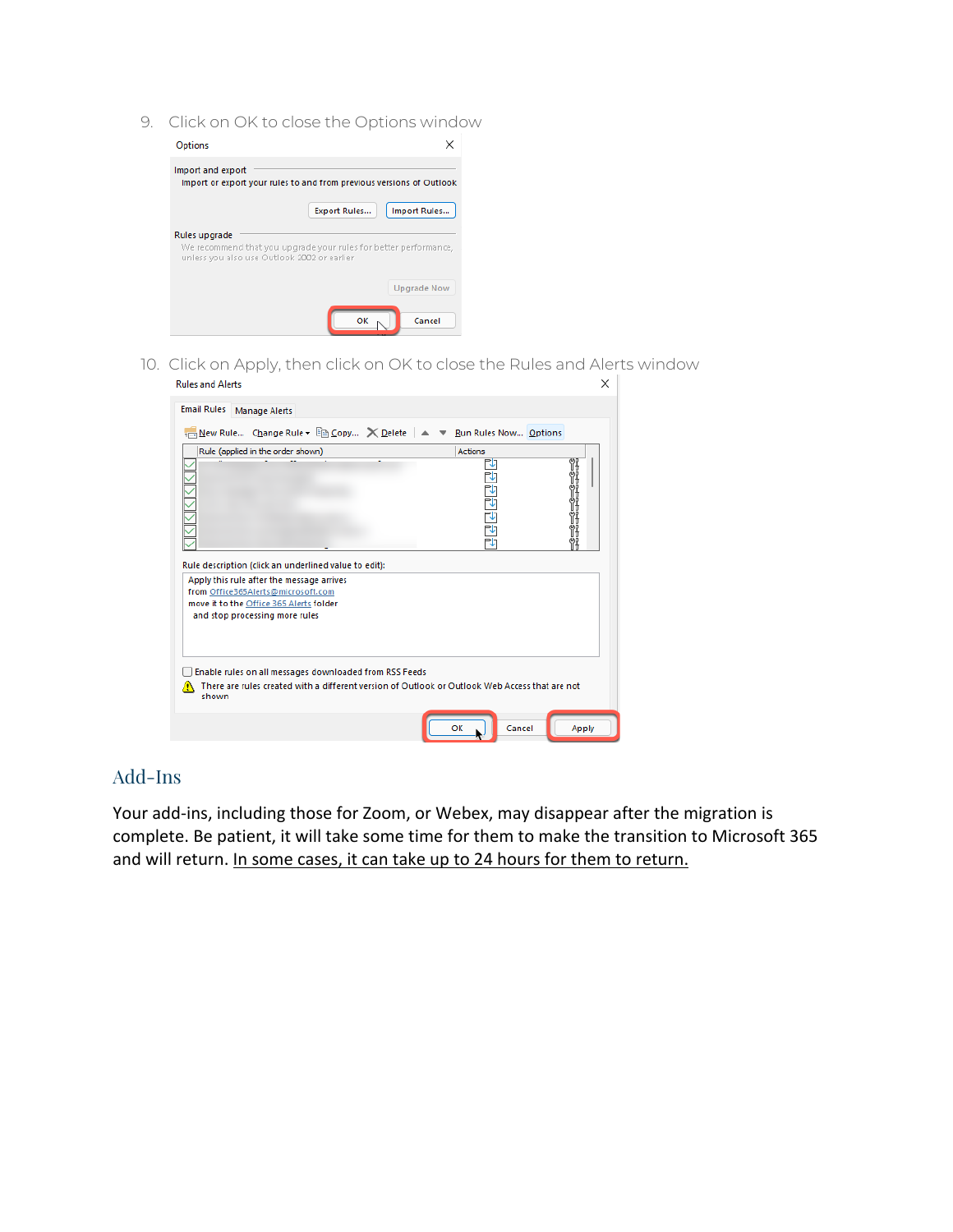9. Click on OK to close the Options window



10. Click on Apply, then click on OK to close the Rules and Alerts window **Rules and Alerts**  $\times$ 

| <b>Email Rules</b><br><b>Manage Alerts</b>                                                                                                                                          |                |                |
|-------------------------------------------------------------------------------------------------------------------------------------------------------------------------------------|----------------|----------------|
| <sub>Em</sub> New Rule Change Rule v Em Copy X Delete   ▲ ▼ Run Rules Now Options                                                                                                   |                |                |
| Rule (applied in the order shown)                                                                                                                                                   | <b>Actions</b> |                |
|                                                                                                                                                                                     | マママ            | 18<br>Ÿ.<br>ŸJ |
| Rule description (click an underlined value to edit):<br>Apply this rule after the message arrives<br>from Office365Alerts@microsoft.com<br>move it to the Office 365 Alerts folder |                |                |
| and stop processing more rules                                                                                                                                                      |                |                |
| Enable rules on all messages downloaded from RSS Feeds<br>There are rules created with a different version of Outlook or Outlook Web Access that are not<br>shown                   |                |                |
|                                                                                                                                                                                     | OK<br>Cancel   | Apply          |

## Add-Ins

Your add-ins, including those for Zoom, or Webex, may disappear after the migration is complete. Be patient, it will take some time for them to make the transition to Microsoft 365 and will return. In some cases, it can take up to 24 hours for them to return.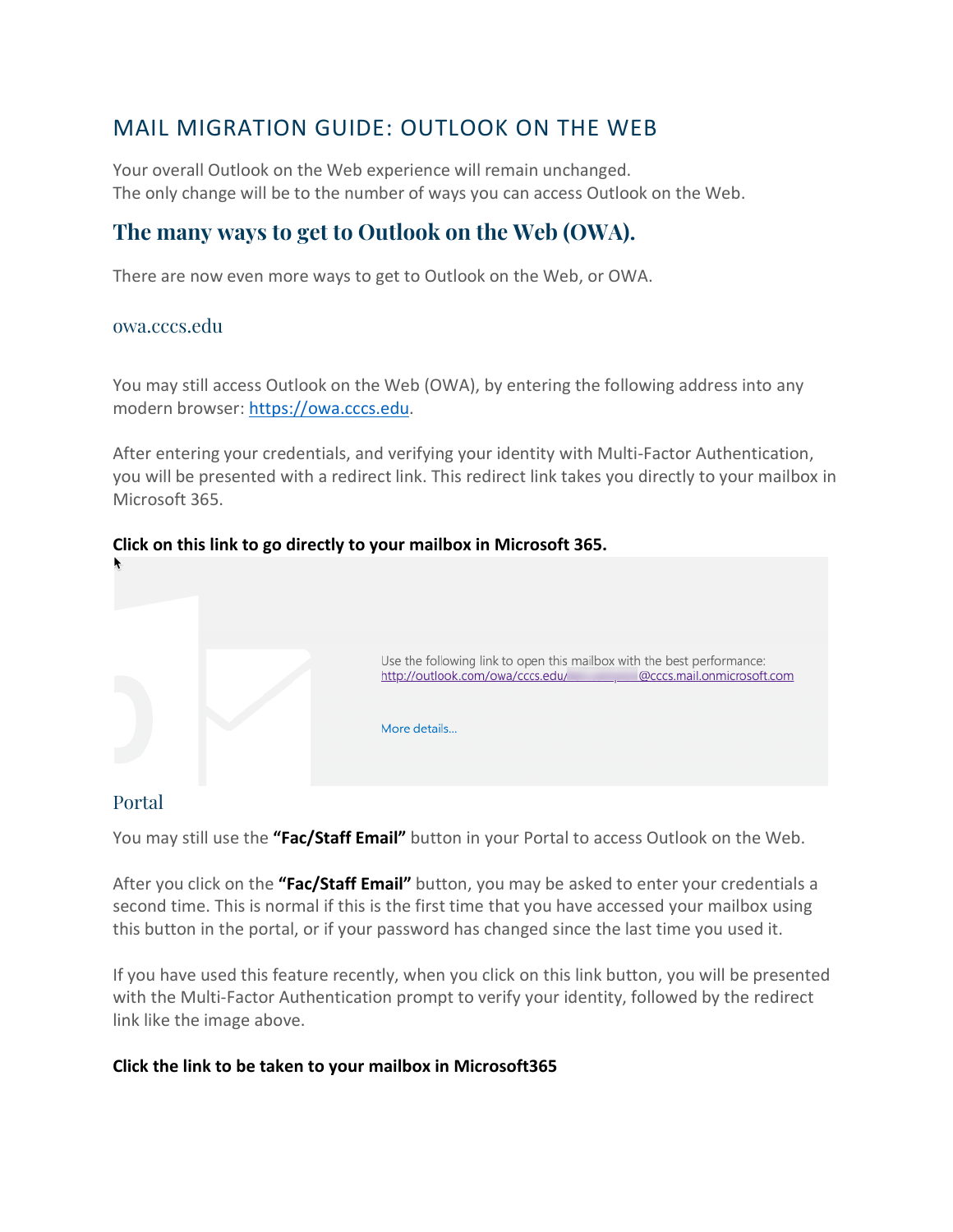## MAIL MIGRATION GUIDE: OUTLOOK ON THE WEB

Your overall Outlook on the Web experience will remain unchanged. The only change will be to the number of ways you can access Outlook on the Web.

## **The many ways to get to Outlook on the Web (OWA).**

There are now even more ways to get to Outlook on the Web, or OWA.

#### owa.cccs.edu

You may still access Outlook on the Web (OWA), by entering the following address into any modern browser: https://owa.cccs.edu.

After entering your credentials, and verifying your identity with Multi-Factor Authentication, you will be presented with a redirect link. This redirect link takes you directly to your mailbox in Microsoft 365.

# Use the following link to open this mailbox with the best performance: http://outlook.com/owa/cccs.edu/ @cccs.mail.onmicrosoft.com More details...

#### **Click on this link to go directly to your mailbox in Microsoft 365.**

## Portal

You may still use the **"Fac/Staff Email"** button in your Portal to access Outlook on the Web.

After you click on the **"Fac/Staff Email"** button, you may be asked to enter your credentials a second time. This is normal if this is the first time that you have accessed your mailbox using this button in the portal, or if your password has changed since the last time you used it.

If you have used this feature recently, when you click on this link button, you will be presented with the Multi-Factor Authentication prompt to verify your identity, followed by the redirect link like the image above.

### **Click the link to be taken to your mailbox in Microsoft365**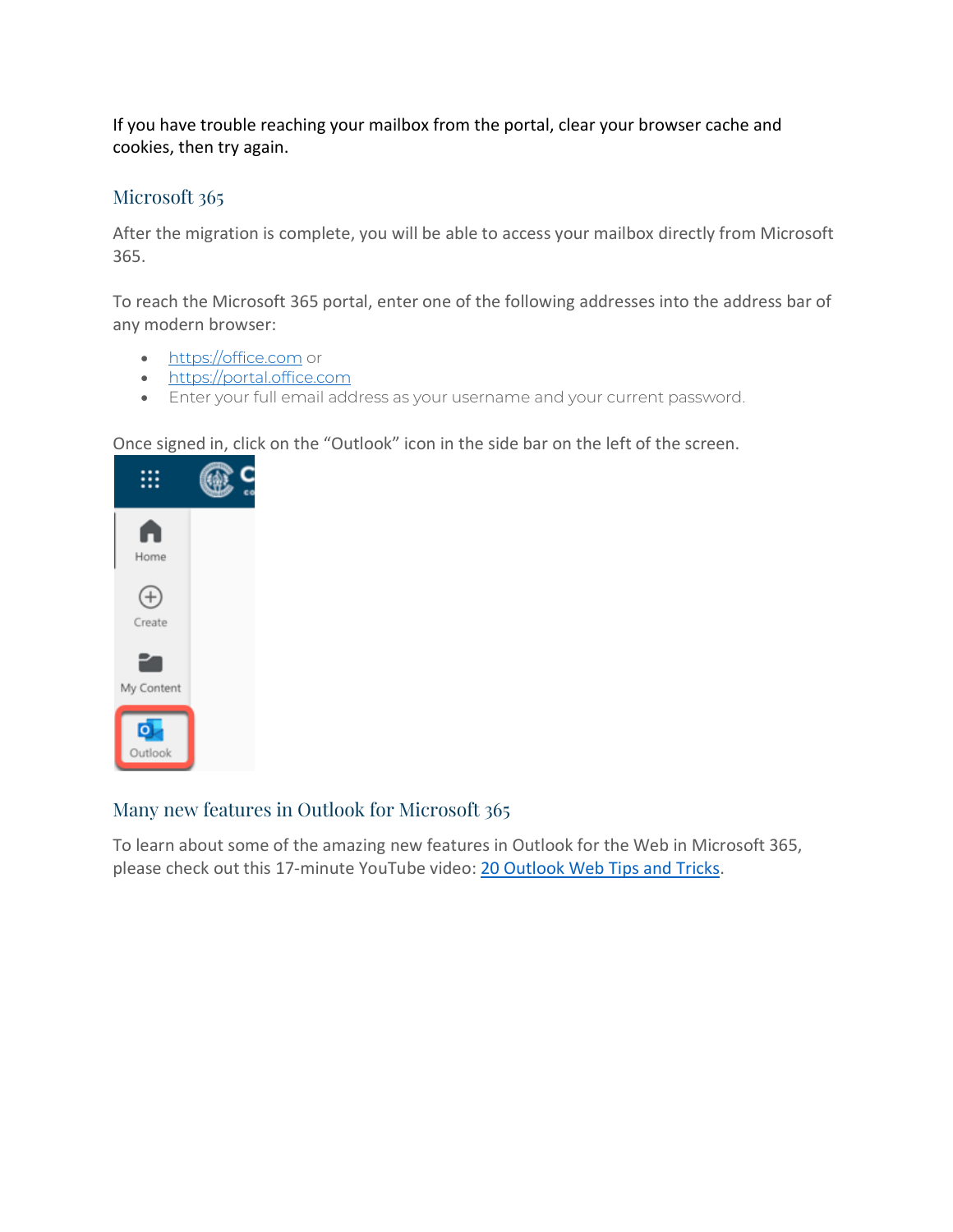If you have trouble reaching your mailbox from the portal, clear your browser cache and cookies, then try again.

## Microsoft 365

After the migration is complete, you will be able to access your mailbox directly from Microsoft 365.

To reach the Microsoft 365 portal, enter one of the following addresses into the address bar of any modern browser:

- https://office.com or
- https://portal.office.com
- Enter your full email address as your username and your current password.

Once signed in, click on the "Outlook" icon in the side bar on the left of the screen.



## Many new features in Outlook for Microsoft 365

To learn about some of the amazing new features in Outlook for the Web in Microsoft 365, please check out this 17-minute YouTube video: 20 Outlook Web Tips and Tricks.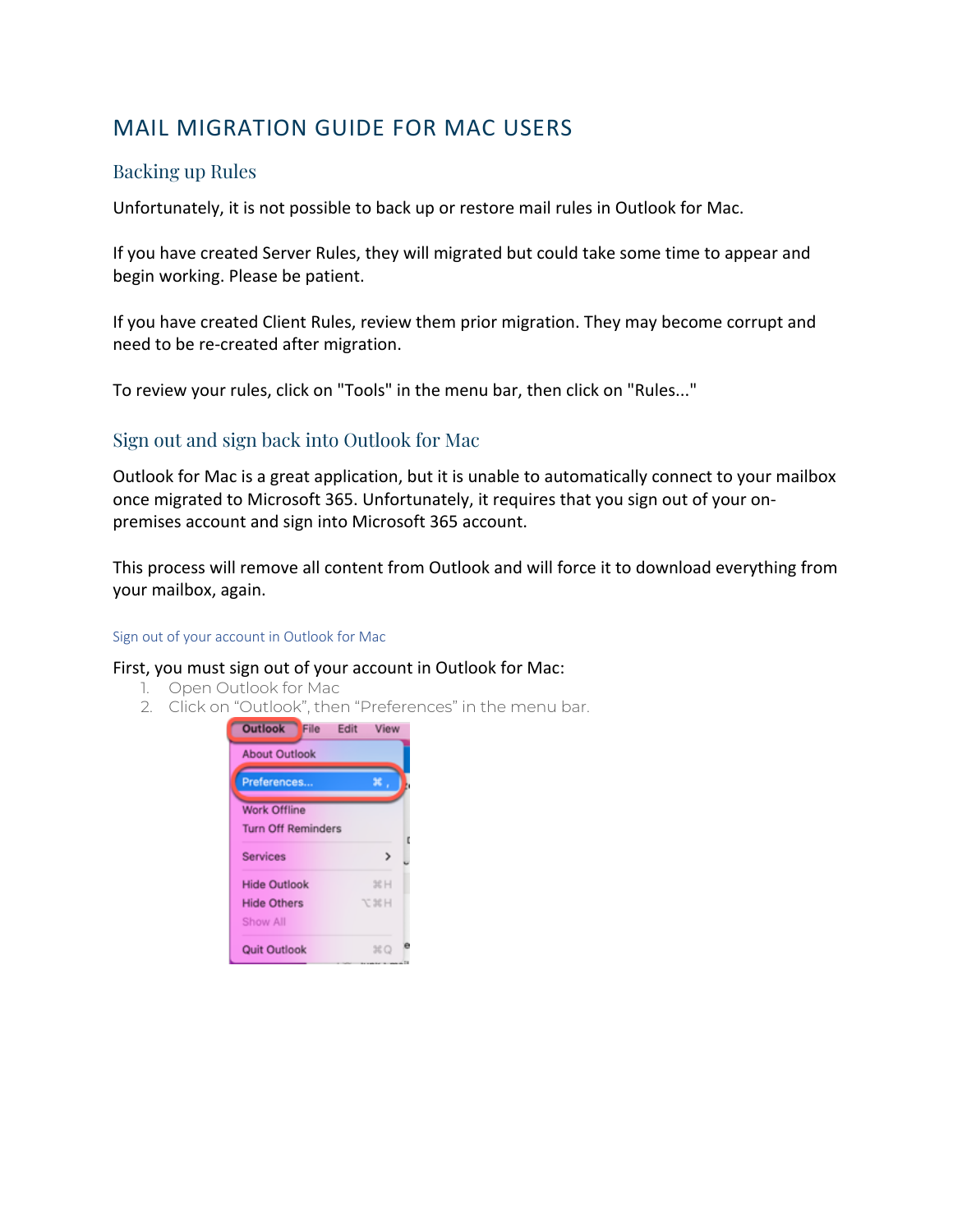## MAIL MIGRATION GUIDE FOR MAC USERS

## Backing up Rules

Unfortunately, it is not possible to back up or restore mail rules in Outlook for Mac.

If you have created Server Rules, they will migrated but could take some time to appear and begin working. Please be patient.

If you have created Client Rules, review them prior migration. They may become corrupt and need to be re-created after migration.

To review your rules, click on "Tools" in the menu bar, then click on "Rules..."

## Sign out and sign back into Outlook for Mac

Outlook for Mac is a great application, but it is unable to automatically connect to your mailbox once migrated to Microsoft 365. Unfortunately, it requires that you sign out of your onpremises account and sign into Microsoft 365 account.

This process will remove all content from Outlook and will force it to download everything from your mailbox, again.

#### Sign out of your account in Outlook for Mac

#### First, you must sign out of your account in Outlook for Mac:

- 1. Open Outlook for Mac
- 2. Click on "Outlook", then "Preferences" in the menu bar.

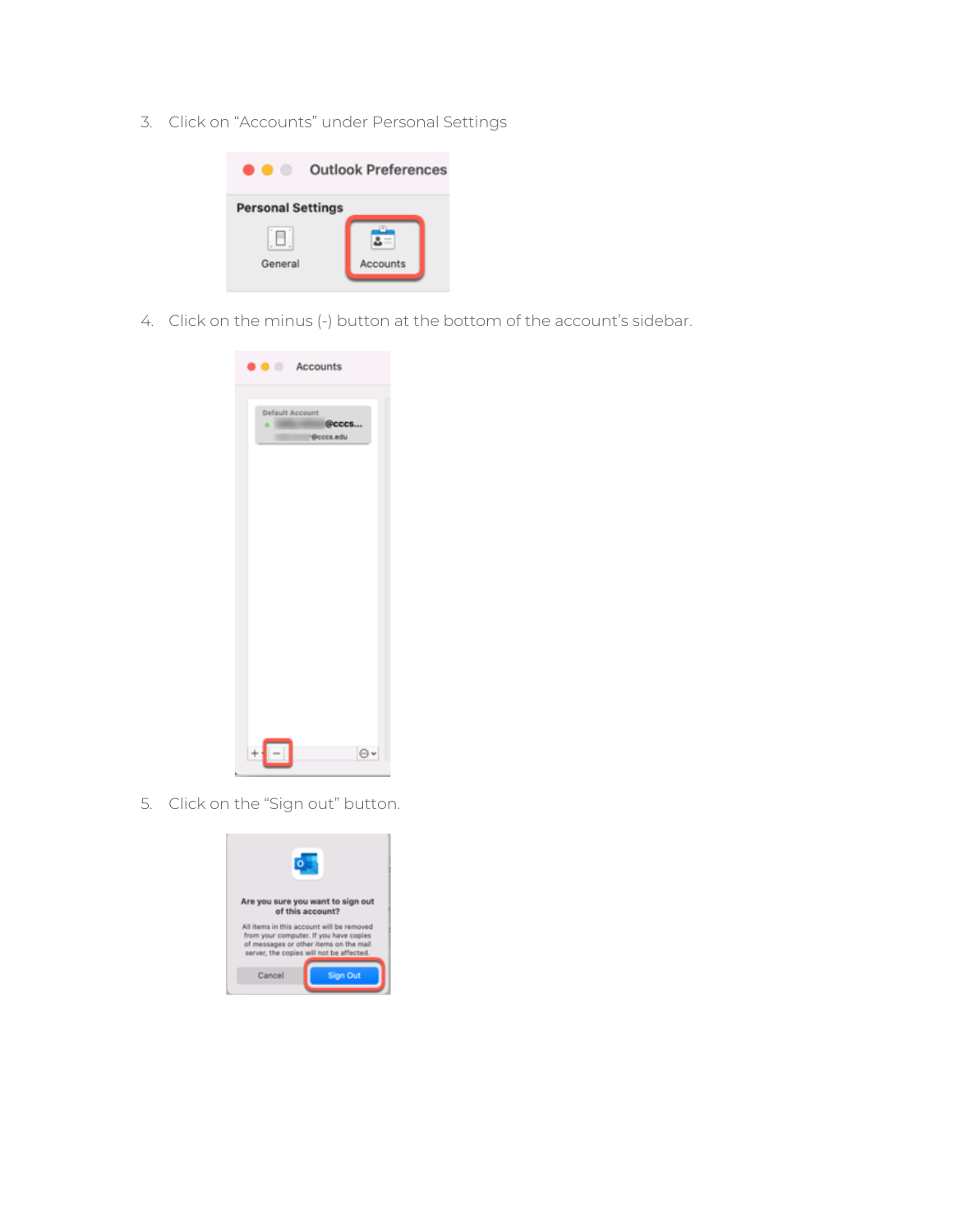3. Click on "Accounts" under Personal Settings



4. Click on the minus (-) button at the bottom of the account's sidebar.

| $\bullet$ $\bullet$ Accounts                                |
|-------------------------------------------------------------|
| <b>Default Account</b><br>@cccs<br>$\cdot$ 100<br>Peccs.edu |
|                                                             |
|                                                             |
|                                                             |
| ł<br>$\Theta$                                               |

5. Click on the "Sign out" button.

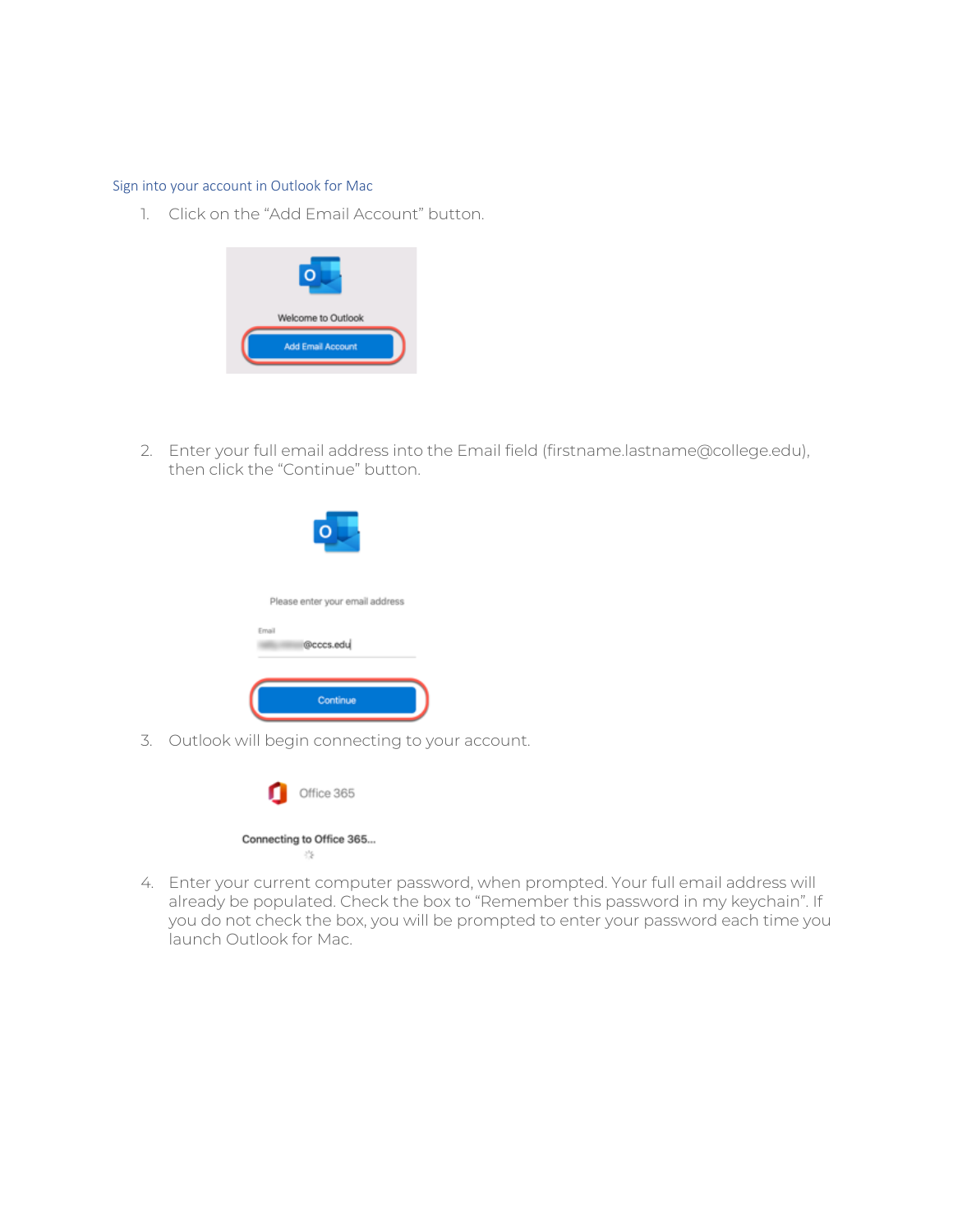#### Sign into your account in Outlook for Mac

1. Click on the "Add Email Account" button.



2. Enter your full email address into the Email field (firstname.lastname@college.edu), then click the "Continue" button.



3. Outlook will begin connecting to your account.



4. Enter your current computer password, when prompted. Your full email address will already be populated. Check the box to "Remember this password in my keychain". If you do not check the box, you will be prompted to enter your password each time you launch Outlook for Mac.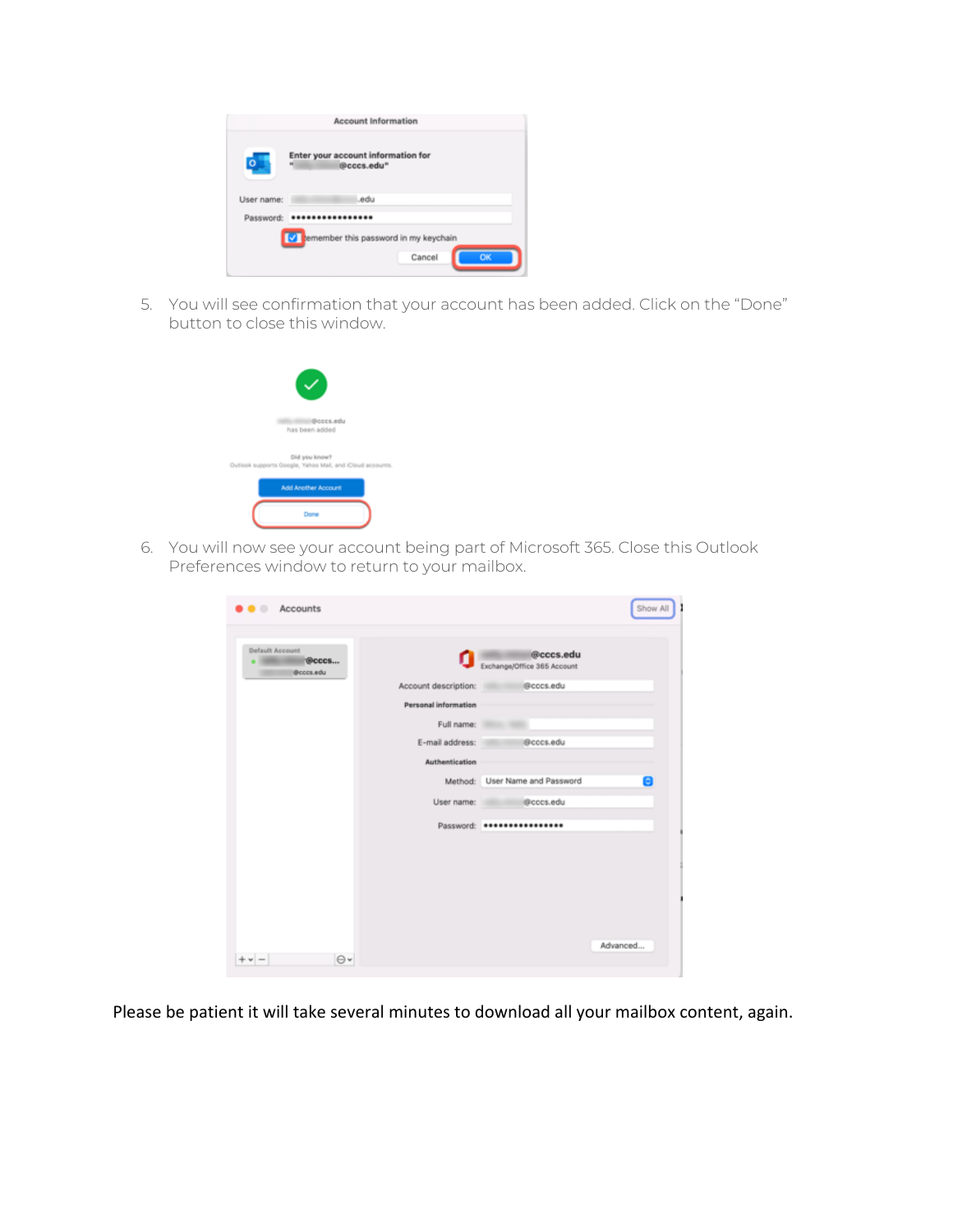|            | Enter your account information for<br>$\mathbf{H}$<br>@cccs.edu" |
|------------|------------------------------------------------------------------|
| User name: | .edu                                                             |
| Password:  |                                                                  |

5. You will see confirmation that your account has been added. Click on the "Done" button to close this window.

| (Boccs.edu<br>has been added                                         |
|----------------------------------------------------------------------|
| Did you know?<br>Outlook supports Google, Yahoo Mail, and iCloud acc |
| <b>Add Another Account</b>                                           |
| Done                                                                 |

6. You will now see your account being part of Microsoft 365. Close this Outlook Preferences window to return to your mailbox.

| Accounts<br>. .                        |                      |                                          | Show All |
|----------------------------------------|----------------------|------------------------------------------|----------|
| Default Account<br>®cccs<br>(Boccs.edu | α                    | @cccs.edu<br>Exchange/Office 365 Account |          |
|                                        | Account description: | @cccs.edu                                |          |
|                                        | Personal information |                                          |          |
|                                        | Full name:           |                                          |          |
|                                        | E-mail address:      | @cccs.edu                                |          |
|                                        | Authentication       |                                          |          |
|                                        |                      | Method: User Name and Password           | A        |
|                                        | User name:           | @cccs.edu                                |          |
|                                        |                      | Password: *****************              |          |
|                                        |                      |                                          |          |
|                                        |                      |                                          |          |
|                                        |                      |                                          |          |
|                                        |                      |                                          |          |
|                                        |                      |                                          |          |
| $\Theta$<br>$\mathbf{v}$ $=$           |                      |                                          | Advanced |

Please be patient it will take several minutes to download all your mailbox content, again.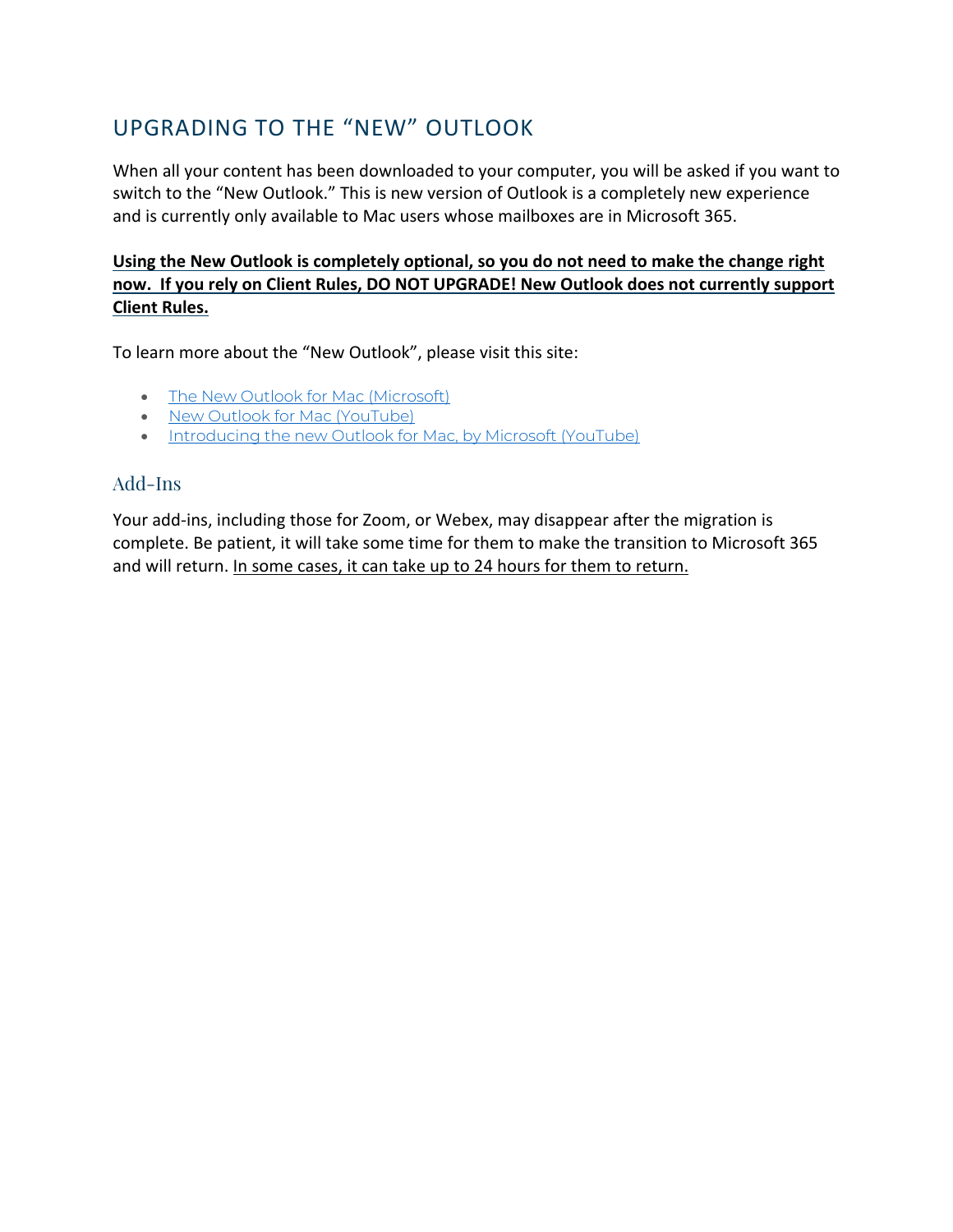## UPGRADING TO THE "NEW" OUTLOOK

When all your content has been downloaded to your computer, you will be asked if you want to switch to the "New Outlook." This is new version of Outlook is a completely new experience and is currently only available to Mac users whose mailboxes are in Microsoft 365.

## **Using the New Outlook is completely optional, so you do not need to make the change right now. If you rely on Client Rules, DO NOT UPGRADE! New Outlook does not currently support Client Rules.**

To learn more about the "New Outlook", please visit this site:

- The New Outlook for Mac (Microsoft)
- New Outlook for Mac (YouTube)
- Introducing the new Outlook for Mac, by Microsoft (YouTube)

## Add-Ins

Your add-ins, including those for Zoom, or Webex, may disappear after the migration is complete. Be patient, it will take some time for them to make the transition to Microsoft 365 and will return. In some cases, it can take up to 24 hours for them to return.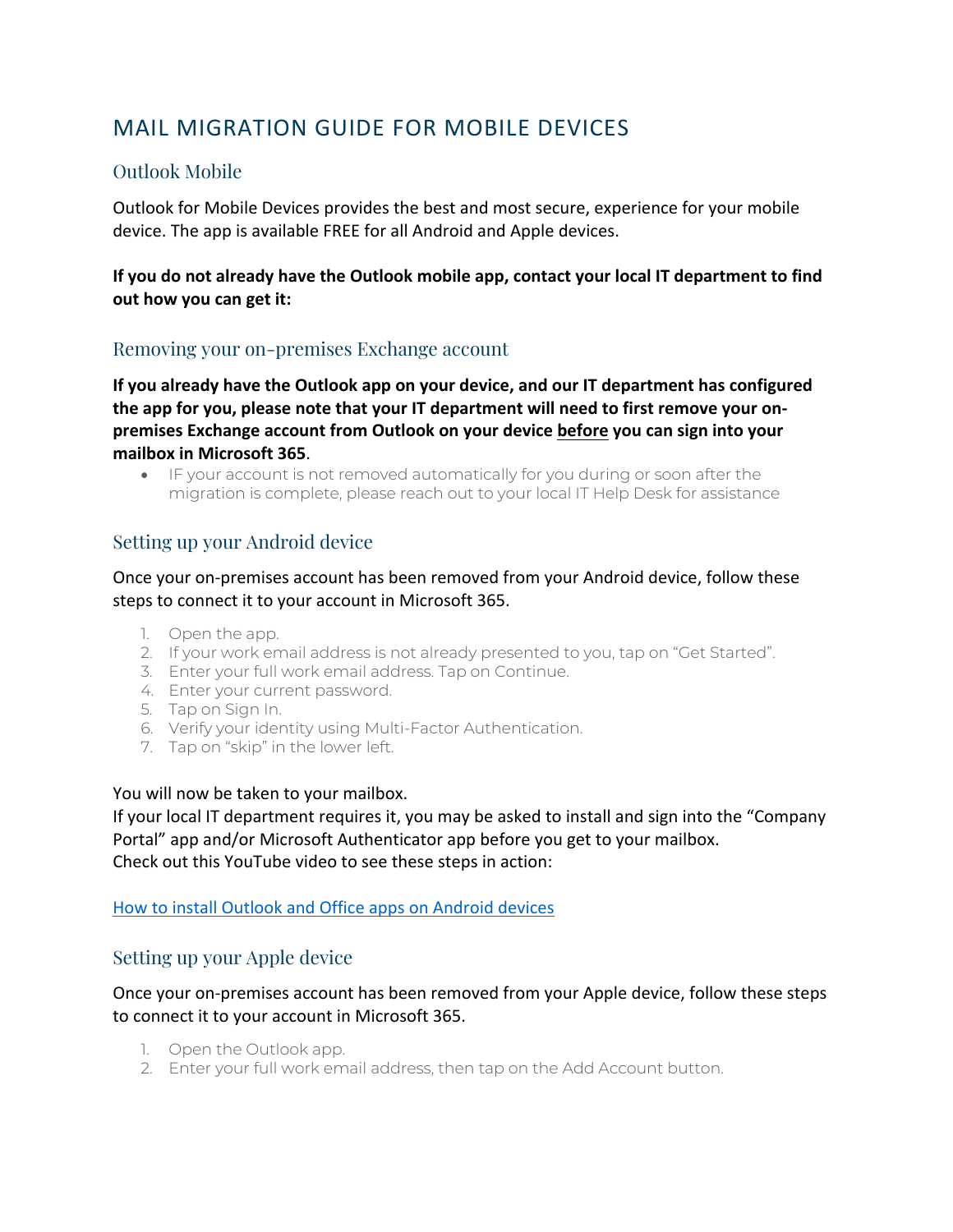## MAIL MIGRATION GUIDE FOR MOBILE DEVICES

## Outlook Mobile

Outlook for Mobile Devices provides the best and most secure, experience for your mobile device. The app is available FREE for all Android and Apple devices.

## **If you do not already have the Outlook mobile app, contact your local IT department to find out how you can get it:**

## Removing your on-premises Exchange account

**If you already have the Outlook app on your device, and our IT department has configured the app for you, please note that your IT department will need to first remove your onpremises Exchange account from Outlook on your device before you can sign into your mailbox in Microsoft 365**.

• IF your account is not removed automatically for you during or soon after the migration is complete, please reach out to your local IT Help Desk for assistance

## Setting up your Android device

Once your on-premises account has been removed from your Android device, follow these steps to connect it to your account in Microsoft 365.

- 1. Open the app.
- 2. If your work email address is not already presented to you, tap on "Get Started".
- 3. Enter your full work email address. Tap on Continue.
- 4. Enter your current password.
- 5. Tap on Sign In.
- 6. Verify your identity using Multi-Factor Authentication.
- 7. Tap on "skip" in the lower left.

#### You will now be taken to your mailbox.

If your local IT department requires it, you may be asked to install and sign into the "Company Portal" app and/or Microsoft Authenticator app before you get to your mailbox. Check out this YouTube video to see these steps in action:

#### How to install Outlook and Office apps on Android devices

## Setting up your Apple device

#### Once your on-premises account has been removed from your Apple device, follow these steps to connect it to your account in Microsoft 365.

- 1. Open the Outlook app.
- 2. Enter your full work email address, then tap on the Add Account button.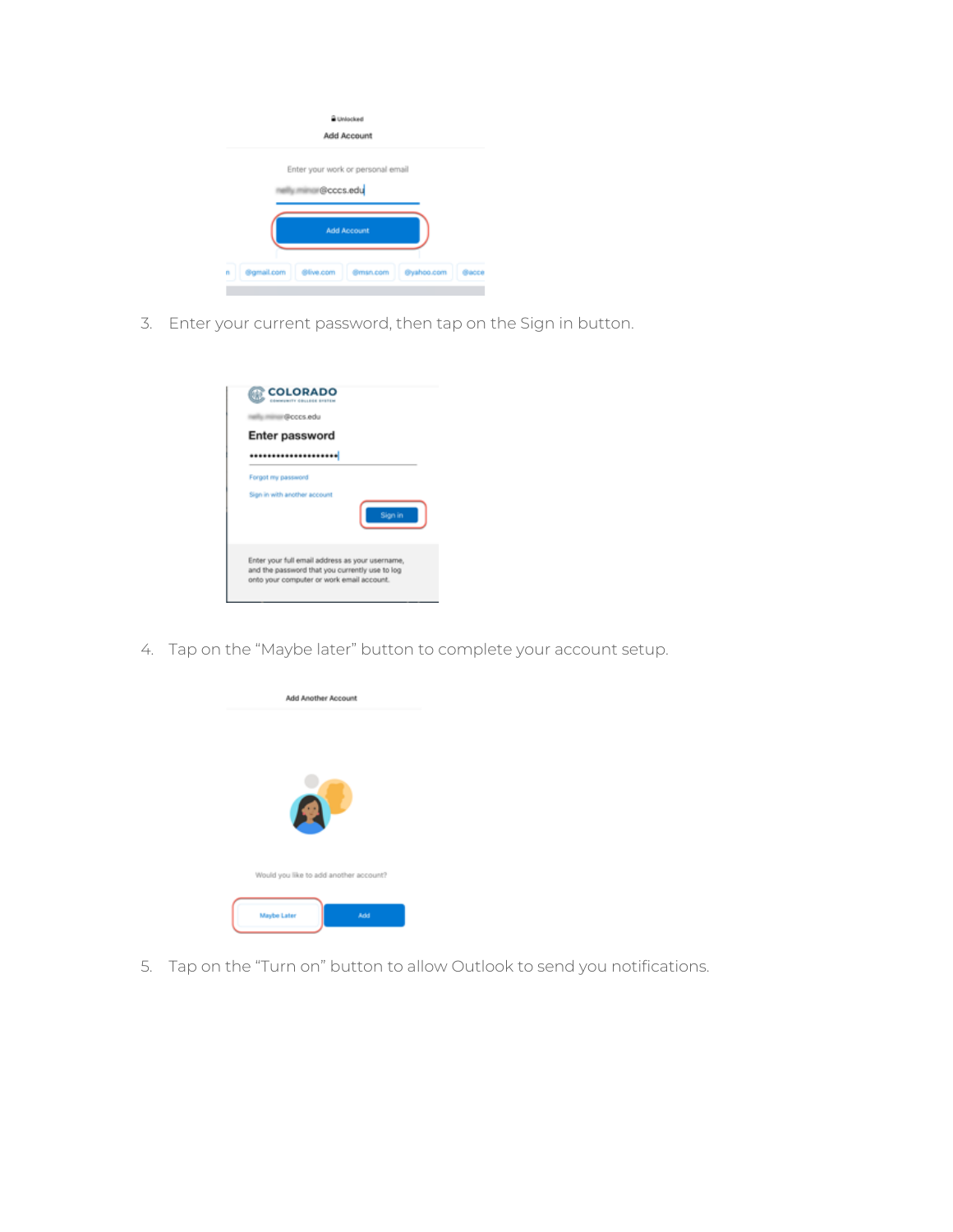|                              | Unlocked<br>Add Account           |            |       |
|------------------------------|-----------------------------------|------------|-------|
|                              | Enter your work or personal email |            |       |
|                              | @cccs.edu                         |            |       |
|                              | <b>Add Account</b>                |            |       |
| @gmail.com<br>@live.com<br>n | @msn.com                          | @yahoo.com | Bacca |

3. Enter your current password, then tap on the Sign in button.



4. Tap on the "Maybe later" button to complete your account setup.



5. Tap on the "Turn on" button to allow Outlook to send you notifications.